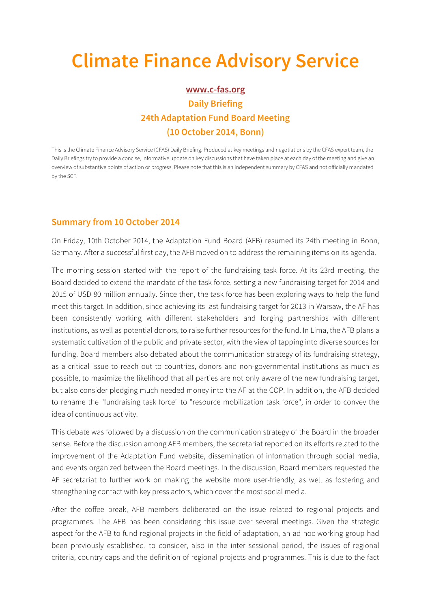## **Climate Finance Advisory Service**

## **www.c-fas.org Daily Briefing 24th Adaptation Fund Board Meeting (10 October 2014, Bonn)**

This is the Climate Finance Advisory Service (CFAS) Daily Briefing. Produced at key meetings and negotiations by the CFAS expert team, the Daily Briefings try to provide a concise, informative update on key discussions that have taken place at each day of the meeting and give an overview of substantive points of action or progress. Please note that this is an independent summary by CFAS and not officially mandated by the SCF.

## **Summary from 10 October 2014**

On Friday, 10th October 2014, the Adaptation Fund Board (AFB) resumed its 24th meeting in Bonn, Germany. After a successful first day, the AFB moved on to address the remaining items on its agenda.

The morning session started with the report of the fundraising task force. At its 23rd meeting, the Board decided to extend the mandate of the task force, setting a new fundraising target for 2014 and 2015 of USD 80 million annually. Since then, the task force has been exploring ways to help the fund meet this target. In addition, since achieving its last fundraising target for 2013 in Warsaw, the AF has been consistently working with different stakeholders and forging partnerships with different institutions, as well as potential donors, to raise further resources for the fund. In Lima, the AFB plans a systematic cultivation of the public and private sector, with the view of tapping into diverse sources for funding. Board members also debated about the communication strategy of its fundraising strategy, as a critical issue to reach out to countries, donors and non-governmental institutions as much as possible, to maximize the likelihood that all parties are not only aware of the new fundraising target, but also consider pledging much needed money into the AF at the COP. In addition, the AFB decided to rename the "fundraising task force" to "resource mobilization task force", in order to convey the idea of continuous activity.

This debate was followed by a discussion on the communication strategy of the Board in the broader sense. Before the discussion among AFB members, the secretariat reported on its efforts related to the improvement of the Adaptation Fund website, dissemination of information through social media, and events organized between the Board meetings. In the discussion, Board members requested the AF secretariat to further work on making the website more user-friendly, as well as fostering and strengthening contact with key press actors, which cover the most social media.

After the coffee break, AFB members deliberated on the issue related to regional projects and programmes. The AFB has been considering this issue over several meetings. Given the strategic aspect for the AFB to fund regional projects in the field of adaptation, an ad hoc working group had been previously established, to consider, also in the inter sessional period, the issues of regional criteria, country caps and the definition of regional projects and programmes. This is due to the fact